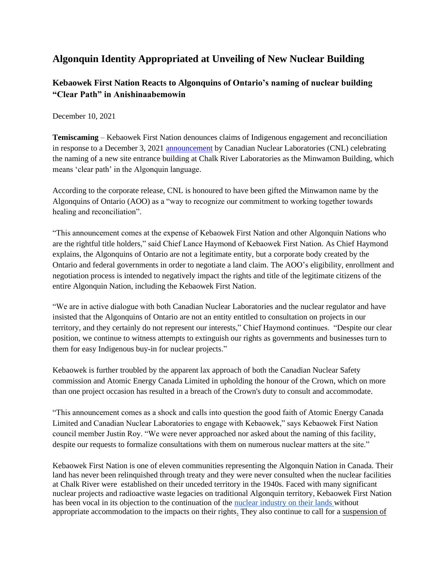## **Algonquin Identity Appropriated at Unveiling of New Nuclear Building**

## **Kebaowek First Nation Reacts to Algonquins of Ontario's naming of nuclear building "Clear Path" in Anishinaabemowin**

December 10, 2021

**Temiscaming** – Kebaowek First Nation denounces claims of Indigenous engagement and reconciliation in response to a December 3, 2021 [announcement](https://www.cnl.ca/algonquins-of-ontario-honour-aecl-and-cnl-with-name-for-new-site-entrance-building-at-chalk-river-campus/) by Canadian Nuclear Laboratories (CNL) celebrating the naming of a new site entrance building at Chalk River Laboratories as the Minwamon Building, which means 'clear path' in the Algonquin language.

According to the corporate release, CNL is honoured to have been gifted the Minwamon name by the Algonquins of Ontario (AOO) as a "way to recognize our commitment to working together towards healing and reconciliation".

"This announcement comes at the expense of Kebaowek First Nation and other Algonquin Nations who are the rightful title holders," said Chief Lance Haymond of Kebaowek First Nation. As Chief Haymond explains, the Algonquins of Ontario are not a legitimate entity, but a corporate body created by the Ontario and federal governments in order to negotiate a land claim. The AOO's eligibility, enrollment and negotiation process is intended to negatively impact the rights and title of the legitimate citizens of the entire Algonquin Nation, including the Kebaowek First Nation.

"We are in active dialogue with both Canadian Nuclear Laboratories and the nuclear regulator and have insisted that the Algonquins of Ontario are not an entity entitled to consultation on projects in our territory, and they certainly do not represent our interests," Chief Haymond continues. "Despite our clear position, we continue to witness attempts to extinguish our rights as governments and businesses turn to them for easy Indigenous buy-in for nuclear projects."

Kebaowek is further troubled by the apparent lax approach of both the Canadian Nuclear Safety commission and Atomic Energy Canada Limited in upholding the honour of the Crown, which on more than one project occasion has resulted in a breach of the Crown's duty to consult and accommodate.

"This announcement comes as a shock and calls into question the good faith of Atomic Energy Canada Limited and Canadian Nuclear Laboratories to engage with Kebaowek," says Kebaowek First Nation council member Justin Roy. "We were never approached nor asked about the naming of this facility, despite our requests to formalize consultations with them on numerous nuclear matters at the site."

Kebaowek First Nation is one of eleven communities representing the Algonquin Nation in Canada. Their land has never been relinquished through treaty and they were never consulted when the nuclear facilities at Chalk River were established on their unceded territory in the 1940s. Faced with many significant nuclear projects and radioactive waste legacies on traditional Algonquin territory, Kebaowek First Nation has been vocal in its objection to the continuation of the [nuclear industry on their lands](https://www.nuclearsafety.gc.ca/eng/the-commission/hearings/cmd/pdf/CMD21/CMD21-H5-20.pdf) without appropriate accommodation to the impacts on their rights. They also continue to call for a [suspension of](https://www.nuclearsafety.gc.ca/eng/the-commission/hearings/cmd/pdf/CMD20/CMD20-H102-7A.pdf)